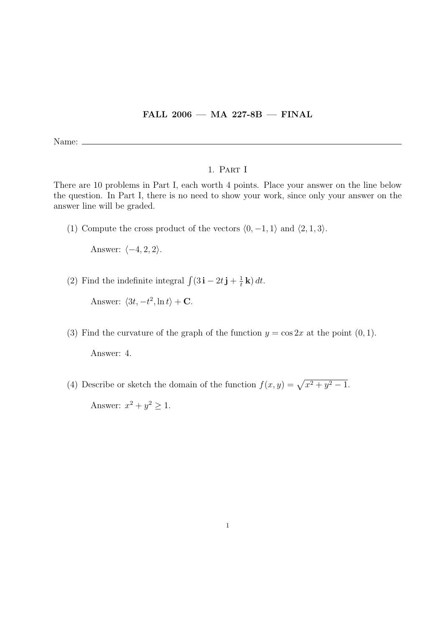## FALL 2006 — MA 227-8B — FINAL

Name:  $\equiv$ 

## 1. Part I

There are 10 problems in Part I, each worth 4 points. Place your answer on the line below the question. In Part I, there is no need to show your work, since only your answer on the answer line will be graded.

(1) Compute the cross product of the vectors  $\langle 0, -1, 1 \rangle$  and  $\langle 2, 1, 3 \rangle$ .

Answer:  $\langle -4, 2, 2 \rangle$ .

(2) Find the indefinite integral  $\int (3\mathbf{i} - 2t\mathbf{j} + \frac{1}{t})$  $\frac{1}{t}$ **k**) dt.

Answer:  $\langle 3t, -t^2, \ln t \rangle + \mathbf{C}$ .

- (3) Find the curvature of the graph of the function  $y = \cos 2x$  at the point  $(0, 1)$ . Answer: 4.
- (4) Describe or sketch the domain of the function  $f(x, y) = \sqrt{x^2 + y^2 1}$ . Answer:  $x^2 + y^2 \geq 1$ .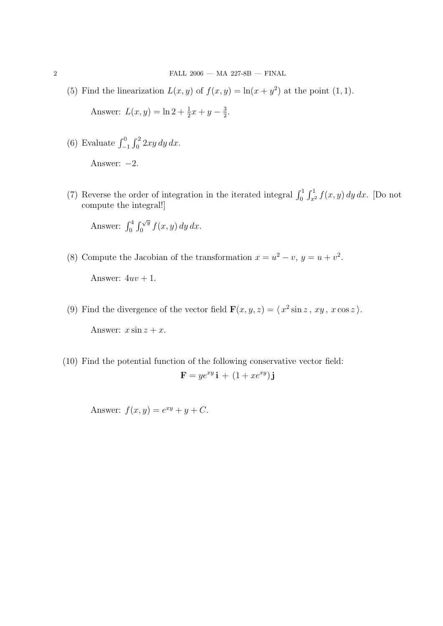(5) Find the linearization  $L(x, y)$  of  $f(x, y) = \ln(x + y^2)$  at the point (1, 1).

Answer:  $L(x, y) = \ln 2 + \frac{1}{2}x + y - \frac{3}{2}$  $\frac{3}{2}$ .

(6) Evaluate  $\int_{-1}^{0} \int_{0}^{2} 2xy \, dy \, dx$ .

Answer:  $-2$ .

(7) Reverse the order of integration in the iterated integral  $\int_0^1 \int_{x^2}^1 f(x, y) dy dx$ . [Do not compute the integral!]

Answer:  $\int_0^4 \int_0^{\sqrt{y}} f(x, y) dy dx$ .

(8) Compute the Jacobian of the transformation  $x = u^2 - v$ ,  $y = u + v^2$ .

Answer:  $4uv + 1$ .

(9) Find the divergence of the vector field  $\mathbf{F}(x, y, z) = \langle x^2 \sin z, xy, x \cos z \rangle$ .

Answer:  $x \sin z + x$ .

(10) Find the potential function of the following conservative vector field:  $\mathbf{F} = y e^{xy} \mathbf{i} + (1 + x e^{xy}) \mathbf{j}$ 

Answer:  $f(x, y) = e^{xy} + y + C$ .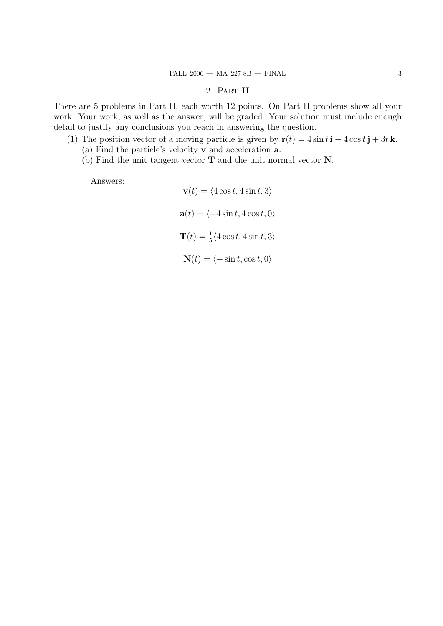## 2. Part II

There are 5 problems in Part II, each worth 12 points. On Part II problems show all your work! Your work, as well as the answer, will be graded. Your solution must include enough detail to justify any conclusions you reach in answering the question.

- (1) The position vector of a moving particle is given by  $\mathbf{r}(t) = 4 \sin t \mathbf{i} 4 \cos t \mathbf{j} + 3t \mathbf{k}$ .
	- (a) Find the particle's velocity v and acceleration a.
	- (b) Find the unit tangent vector T and the unit normal vector N.

Answers:

$$
\mathbf{v}(t) = \langle 4\cos t, 4\sin t, 3 \rangle
$$

$$
\mathbf{a}(t) = \langle -4\sin t, 4\cos t, 0 \rangle
$$

$$
\mathbf{T}(t) = \frac{1}{5} \langle 4\cos t, 4\sin t, 3 \rangle
$$

$$
\mathbf{N}(t) = \langle -\sin t, \cos t, 0 \rangle
$$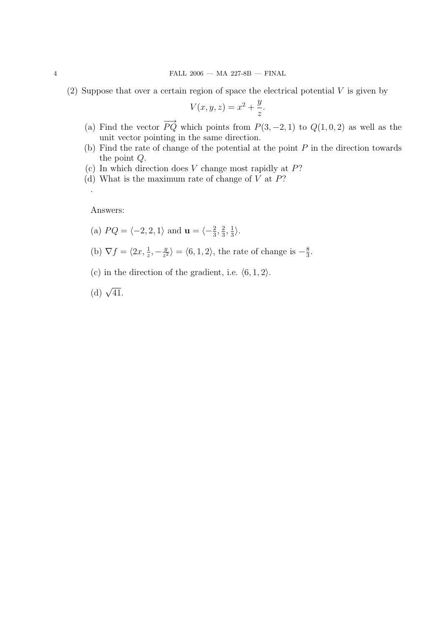(2) Suppose that over a certain region of space the electrical potential  $V$  is given by

$$
V(x, y, z) = x^2 + \frac{y}{z}.
$$

- (a) Find the vector  $\overrightarrow{PQ}$  which points from  $P(3, -2, 1)$  to  $Q(1, 0, 2)$  as well as the unit vector pointing in the same direction.
- (b) Find the rate of change of the potential at the point  $P$  in the direction towards the point Q.
- (c) In which direction does  $V$  change most rapidly at  $P$ ?
- (d) What is the maximum rate of change of  $V$  at  $P$ ?

Answers:

.

(a) 
$$
PQ = \langle -2, 2, 1 \rangle
$$
 and  $\mathbf{u} = \langle -\frac{2}{3}, \frac{2}{3}, \frac{1}{3} \rangle$ .

- (b)  $\nabla f = \langle 2x, \frac{1}{z}, -\frac{y}{z^2} \rangle$  $\frac{y}{z^2}$  =  $\langle 6, 1, 2 \rangle$ , the rate of change is  $-\frac{8}{3}$  $\frac{8}{3}$ .
- (c) in the direction of the gradient, i.e.  $\langle 6, 1, 2 \rangle$ .

(d)  $\sqrt{41}$ .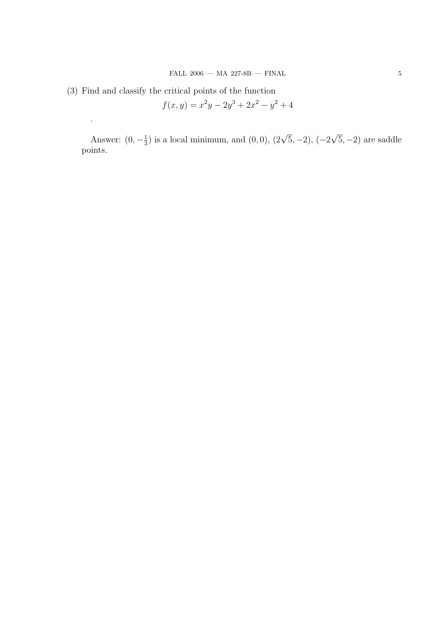(3) Find and classify the critical points of the function

.

$$
f(x,y) = x^2y - 2y^3 + 2x^2 - y^2 + 4
$$

Answer:  $(0, -\frac{1}{3})$  $\frac{1}{3}$ ) is a local minimum, and  $(0,0)$ ,  $(2\sqrt{5},-2)$ ,  $(-2)$ √  $(5, -2)$  are saddle points.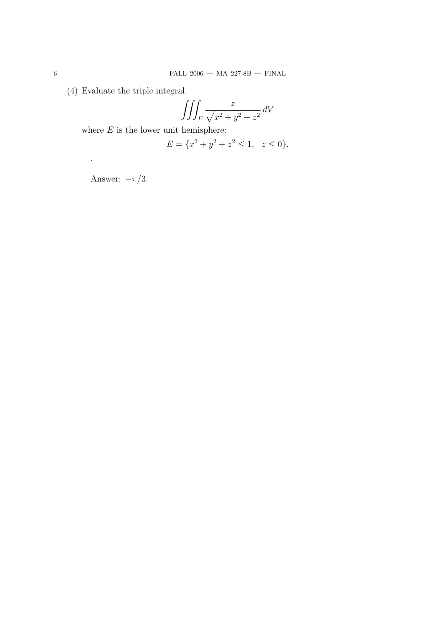(4) Evaluate the triple integral

$$
\iiint_E \frac{z}{\sqrt{x^2 + y^2 + z^2}} \, dV
$$

where  ${\cal E}$  is the lower unit hemisphere:

$$
E = \{x^2 + y^2 + z^2 \le 1, \ z \le 0\}.
$$

Answer:  $-\pi/3$ .

.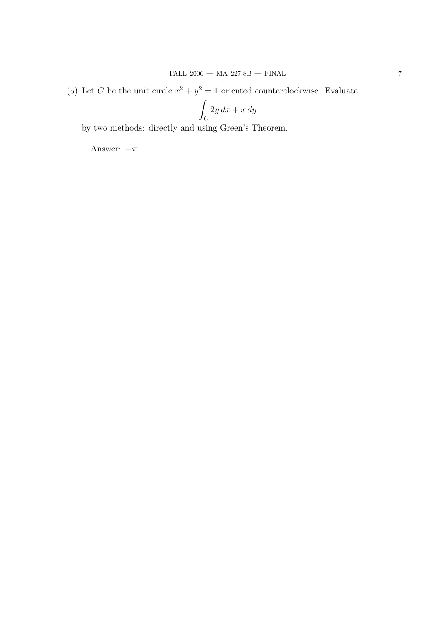(5) Let C be the unit circle  $x^2 + y^2 = 1$  oriented counterclockwise. Evaluate

$$
\int_C 2y\,dx + x\,dy
$$

by two methods: directly and using Green's Theorem.

Answer:  $-\pi$ .